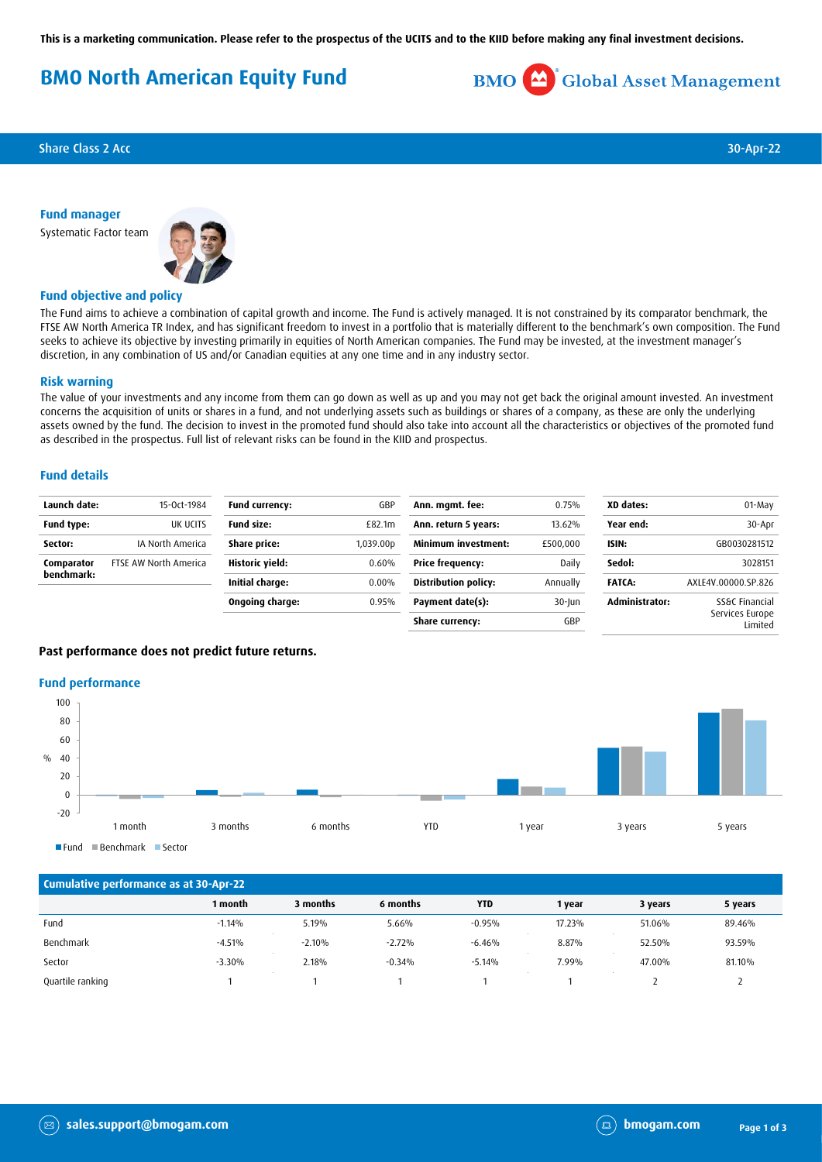**This is a marketing communication. Please refer to the prospectus of the UCITS and to the KIID before making any final investment decisions.**

# **BMO North American Equity Fund**



**Share Class 2 Acc** 30-Apr-22

## **Fund manager**

Systematic Factor team



# **Fund objective and policy**

The Fund aims to achieve a combination of capital growth and income. The Fund is actively managed. It is not constrained by its comparator benchmark, the FTSE AW North America TR Index, and has significant freedom to invest in a portfolio that is materially different to the benchmark's own composition. The Fund seeks to achieve its objective by investing primarily in equities of North American companies. The Fund may be invested, at the investment manager's discretion, in any combination of US and/or Canadian equities at any one time and in any industry sector.

#### **Risk warning**

The value of your investments and any income from them can go down as well as up and you may not get back the original amount invested. An investment concerns the acquisition of units or shares in a fund, and not underlying assets such as buildings or shares of a company, as these are only the underlying assets owned by the fund. The decision to invest in the promoted fund should also take into account all the characteristics or objectives of the promoted fund as described in the prospectus. Full list of relevant risks can be found in the KIID and prospectus.

#### **Fund details**

| Launch date:             | 15-0ct-1984           | <b>Fund currency:</b> | GBP                   | Ann. mgmt. fee:             | 0.75%     | XD dates:      | 01-May                     |
|--------------------------|-----------------------|-----------------------|-----------------------|-----------------------------|-----------|----------------|----------------------------|
| Fund type:               | UK UCITS              | <b>Fund size:</b>     | £82.1m                | Ann. return 5 years:        | 13.62%    | Year end:      | 30-Apr                     |
| Sector:                  | IA North America      | Share price:          | 1.039.00 <sub>D</sub> | <b>Minimum investment:</b>  | £500,000  | ISIN:          | GB0030281512               |
| Comparator<br>benchmark: | FTSE AW North America | Historic yield:       | 0.60%                 | <b>Price frequency:</b>     | Daily     | Sedol:         | 3028151                    |
|                          |                       | Initial charge:       | $0.00\%$              | <b>Distribution policy:</b> | Annually  | <b>FATCA:</b>  | AXLE4V.00000.SP.826        |
|                          |                       | Ongoing charge:       | 0.95%                 | Payment date(s):            | $30$ -Jun | Administrator: | SS&C Financial             |
|                          |                       |                       |                       | Share currency:             | GBP       |                | Services Europe<br>Limited |

## **Past performance does not predict future returns.**

#### **Fund performance**



Fund Benchmark Sector

| Cumulative performance as at 30-Apr-22 |          |          |          |            |        |         |         |
|----------------------------------------|----------|----------|----------|------------|--------|---------|---------|
|                                        | 1 month  | 3 months | 6 months | <b>YTD</b> | 1 year | 3 years | 5 years |
| Fund                                   | $-1.14%$ | 5.19%    | 5.66%    | $-0.95%$   | 17.23% | 51.06%  | 89.46%  |
| Benchmark                              | $-4.51%$ | $-2.10%$ | $-2.72%$ | $-6.46%$   | 8.87%  | 52.50%  | 93.59%  |
| Sector                                 | $-3.30%$ | 2.18%    | $-0.34%$ | $-5.14%$   | 7.99%  | 47.00%  | 81.10%  |
| Quartile ranking                       |          |          |          |            |        |         |         |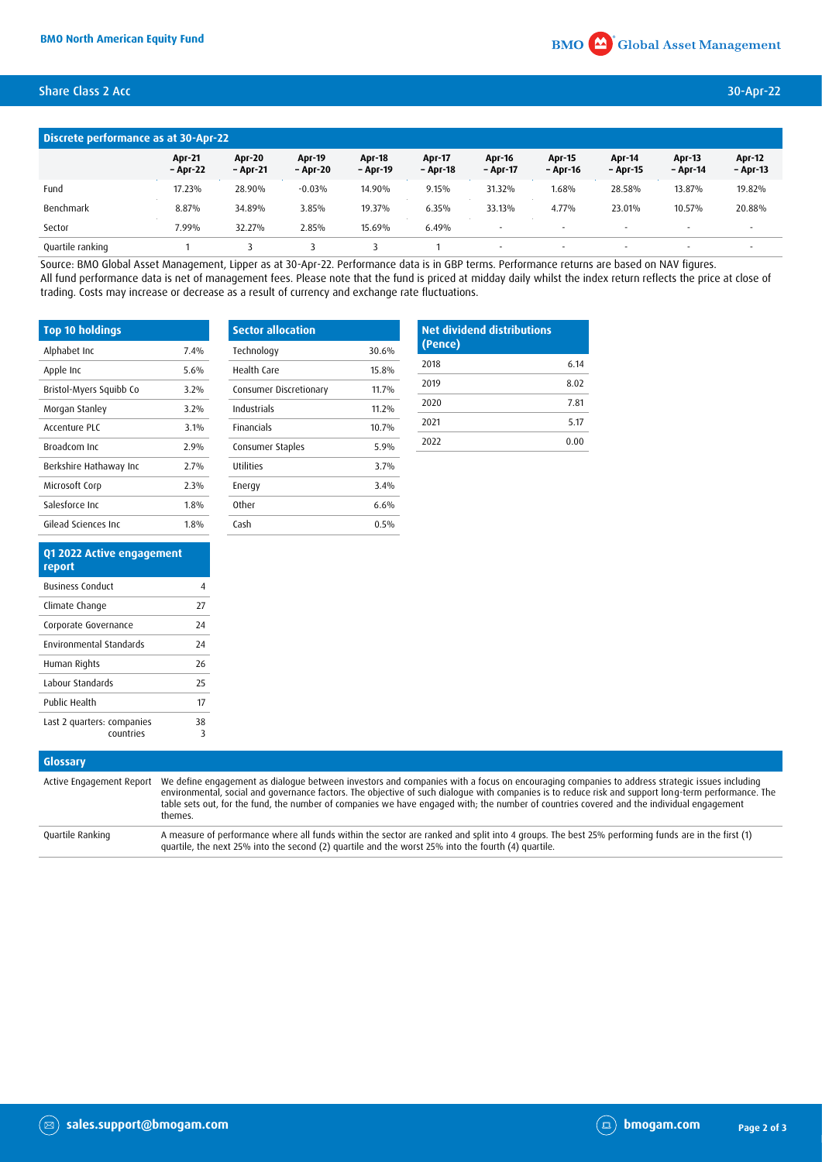# Share Class 2 Acc 30-Apr-22

| Discrete performance as at 30-Apr-22 |                           |                           |                           |                           |                           |                           |                          |                          |                           |                           |
|--------------------------------------|---------------------------|---------------------------|---------------------------|---------------------------|---------------------------|---------------------------|--------------------------|--------------------------|---------------------------|---------------------------|
|                                      | <b>Apr-21</b><br>- Apr-22 | <b>Apr-20</b><br>– Apr-21 | <b>Apr-19</b><br>- Apr-20 | <b>Apr-18</b><br>- Apr-19 | <b>Apr-17</b><br>- Apr-18 | <b>Apr-16</b><br>- Apr-17 | Apr-15<br>- Apr-16       | Apr-14<br>- Apr-15       | <b>Apr-13</b><br>- Apr-14 | <b>Apr-12</b><br>- Apr-13 |
| Fund                                 | 17.23%                    | 28.90%                    | $-0.03%$                  | 14.90%                    | 9.15%                     | 31.32%                    | 1.68%                    | 28.58%                   | 13.87%                    | 19.82%                    |
| Benchmark                            | 8.87%                     | 34.89%                    | 3.85%                     | 19.37%                    | 6.35%                     | 33.13%                    | 4.77%                    | 23.01%                   | 10.57%                    | 20.88%                    |
| Sector                               | 7.99%                     | 32.27%                    | 2.85%                     | 15.69%                    | 6.49%                     |                           |                          | $\overline{\phantom{a}}$ |                           | $\sim$                    |
| Quartile ranking                     |                           |                           |                           |                           |                           |                           | $\overline{\phantom{a}}$ |                          |                           |                           |

Source: BMO Global Asset Management, Lipper as at 30-Apr-22. Performance data is in GBP terms. Performance returns are based on NAV figures. All fund performance data is net of management fees. Please note that the fund is priced at midday daily whilst the index return reflects the price at close of trading. Costs may increase or decrease as a result of currency and exchange rate fluctuations.

| <b>Top 10 holdings</b>  |         | <b>Sector allocation</b> |       |
|-------------------------|---------|--------------------------|-------|
| Alphabet Inc            | 7.4%    | Technology               | 30.6% |
| Apple Inc               | 5.6%    | Health Care              | 15.8% |
| Bristol-Myers Squibb Co | 3.2%    | Consumer Discretionary   | 11.7% |
| Morgan Stanley          | 3.2%    | Industrials              | 11.2% |
| Accenture PLC           | $3.1\%$ | <b>Financials</b>        | 10.7% |
| Broadcom Inc.           | 2.9%    | Consumer Staples         | 5.9%  |
| Berkshire Hathaway Inc  | 2.7%    | Utilities                | 3.7%  |
| Microsoft Corp          | 2.3%    | Energy                   | 3.4%  |
| Salesforce Inc          | 1.8%    | 0ther                    | 6.6%  |
| Gilead Sciences Inc.    | 1.8%    | Cash                     | 0.5%  |

| <b>Net dividend distributions</b><br>(Pence) |      |  |  |  |
|----------------------------------------------|------|--|--|--|
| 2018                                         | 6 14 |  |  |  |
| 2019                                         | 8.02 |  |  |  |
| 2020                                         | 7.81 |  |  |  |
| 2021                                         | 5.17 |  |  |  |
| 2022                                         | 0.00 |  |  |  |

| Q1 2022 Active engagement<br>report     |         |
|-----------------------------------------|---------|
| <b>Business Conduct</b>                 | 4       |
| Climate Change                          | 77      |
| Corporate Governance                    | 24      |
| <b>Environmental Standards</b>          | 24      |
| Human Rights                            | 26      |
| Labour Standards                        | 25      |
| Public Health                           | 17      |
| Last 2 quarters: companies<br>countries | 38<br>3 |

| Glossary         |                                                                                                                                                                                                                                                                                                                                                                                                                                                                                       |
|------------------|---------------------------------------------------------------------------------------------------------------------------------------------------------------------------------------------------------------------------------------------------------------------------------------------------------------------------------------------------------------------------------------------------------------------------------------------------------------------------------------|
|                  | Active Engagement Report We define engagement as dialogue between investors and companies with a focus on encouraging companies to address strategic issues including<br>environmental, social and governance factors. The objective of such dialogue with companies is to reduce risk and support long-term performance. The<br>table sets out, for the fund, the number of companies we have engaged with; the number of countries covered and the individual engagement<br>themes. |
| Quartile Ranking | A measure of performance where all funds within the sector are ranked and split into 4 groups. The best 25% performing funds are in the first (1)<br>quartile, the next 25% into the second (2) quartile and the worst 25% into the fourth (4) quartile.                                                                                                                                                                                                                              |